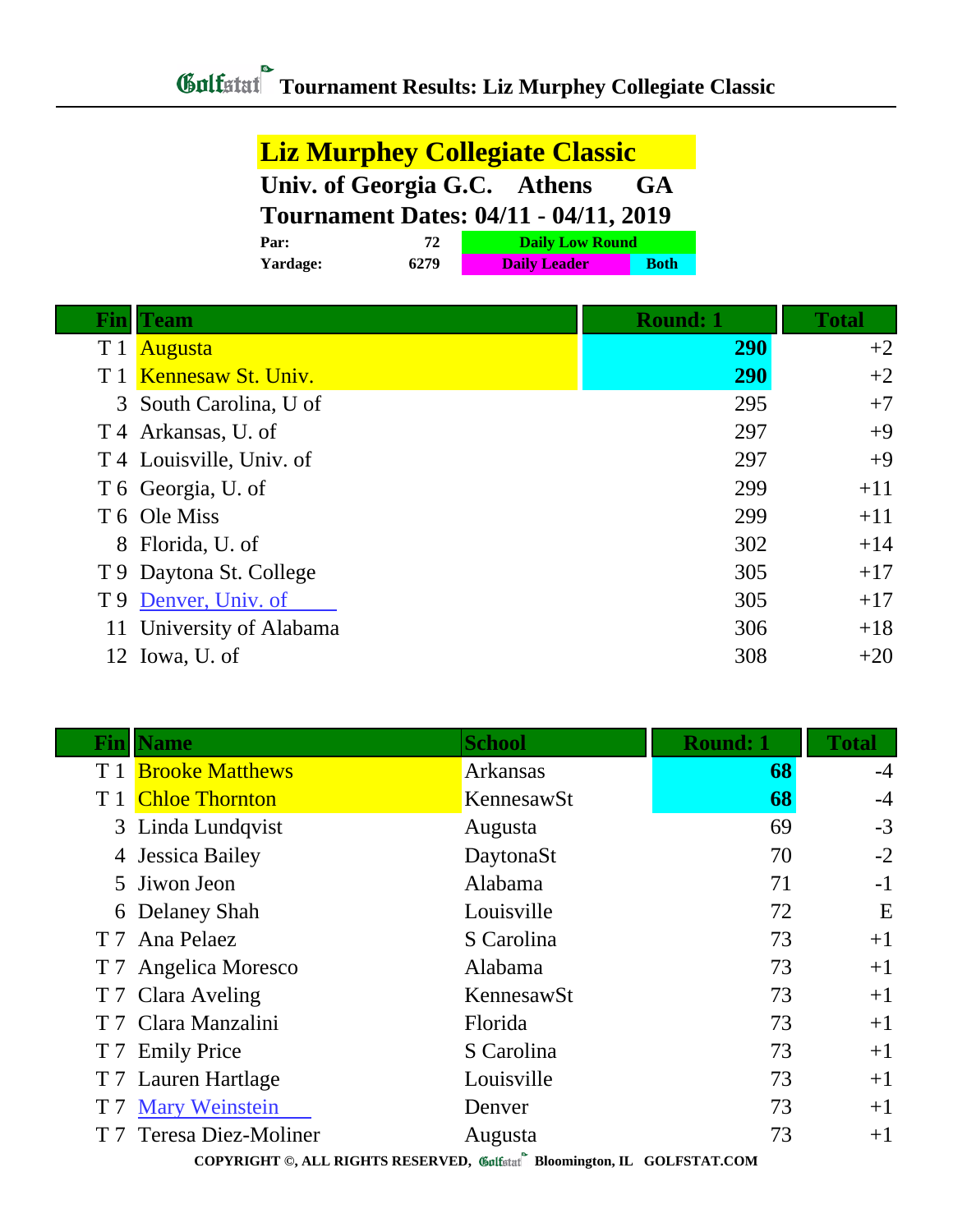| <b>Liz Murphey Collegiate Classic</b>        |      |                        |             |
|----------------------------------------------|------|------------------------|-------------|
| Univ. of Georgia G.C. Athens<br><b>GA</b>    |      |                        |             |
| <b>Tournament Dates: 04/11 - 04/11, 2019</b> |      |                        |             |
| Par:                                         | 72   | <b>Daily Low Round</b> |             |
| Yardage:                                     | 6279 | <b>Daily Leader</b>    | <b>Both</b> |

| Fin | <b>Team</b>              | <b>Round: 1</b> | <b>Total</b> |
|-----|--------------------------|-----------------|--------------|
| T 1 | <b>Augusta</b>           | <b>290</b>      | $+2$         |
|     | T 1 Kennesaw St. Univ.   | <b>290</b>      | $+2$         |
|     | 3 South Carolina, U of   | 295             | $+7$         |
|     | T 4 Arkansas, U. of      | 297             | $+9$         |
|     | T 4 Louisville, Univ. of | 297             | $+9$         |
|     | T 6 Georgia, U. of       | 299             | $+11$        |
|     | T 6 Ole Miss             | 299             | $+11$        |
|     | 8 Florida, U. of         | 302             | $+14$        |
|     | T 9 Daytona St. College  | 305             | $+17$        |
| T 9 | Denver, Univ. of         | 305             | $+17$        |
|     | 11 University of Alabama | 306             | $+18$        |
|     | 12 Iowa, U. of           | 308             | $+20$        |

| Fin                                                                                                | <b>Name</b>                | <b>School</b>   | <b>Round: 1</b> | <b>Total</b> |
|----------------------------------------------------------------------------------------------------|----------------------------|-----------------|-----------------|--------------|
|                                                                                                    | T 1 <b>Brooke Matthews</b> | <b>Arkansas</b> | 68              | $-4$         |
|                                                                                                    | <b>Chloe Thornton</b>      | KennesawSt      | 68              | $-4$         |
|                                                                                                    | 3 Linda Lundqvist          | Augusta         | 69              | $-3$         |
| 4                                                                                                  | Jessica Bailey             | DaytonaSt       | 70              | $-2$         |
|                                                                                                    | 5 Jiwon Jeon               | Alabama         | 71              | $-1$         |
|                                                                                                    | 6 Delaney Shah             | Louisville      | 72              | E            |
|                                                                                                    | T 7 Ana Pelaez             | S Carolina      | 73              | $+1$         |
|                                                                                                    | T 7 Angelica Moresco       | Alabama         | 73              | $+1$         |
|                                                                                                    | T 7 Clara Aveling          | KennesawSt      | 73              | $+1$         |
|                                                                                                    | T 7 Clara Manzalini        | Florida         | 73              | $+1$         |
|                                                                                                    | T 7 Emily Price            | S Carolina      | 73              | $+1$         |
|                                                                                                    | T 7 Lauren Hartlage        | Louisville      | 73              | $+1$         |
|                                                                                                    | <b>T7 Mary Weinstein</b>   | Denver          | 73              | $+1$         |
|                                                                                                    | T 7 Teresa Diez-Moliner    | Augusta         | 73              | $+1$         |
| CONVINIGUITIES IT INCLUDED TREATING $\mathscr{M}$ is $\mathscr{N}$ in $\mathscr{N}$ if COIRCHIMAGO |                            |                 |                 |              |

**COPYRIGHT ©, ALL RIGHTS RESERVED, Bloomington, IL GOLFSTAT.COM**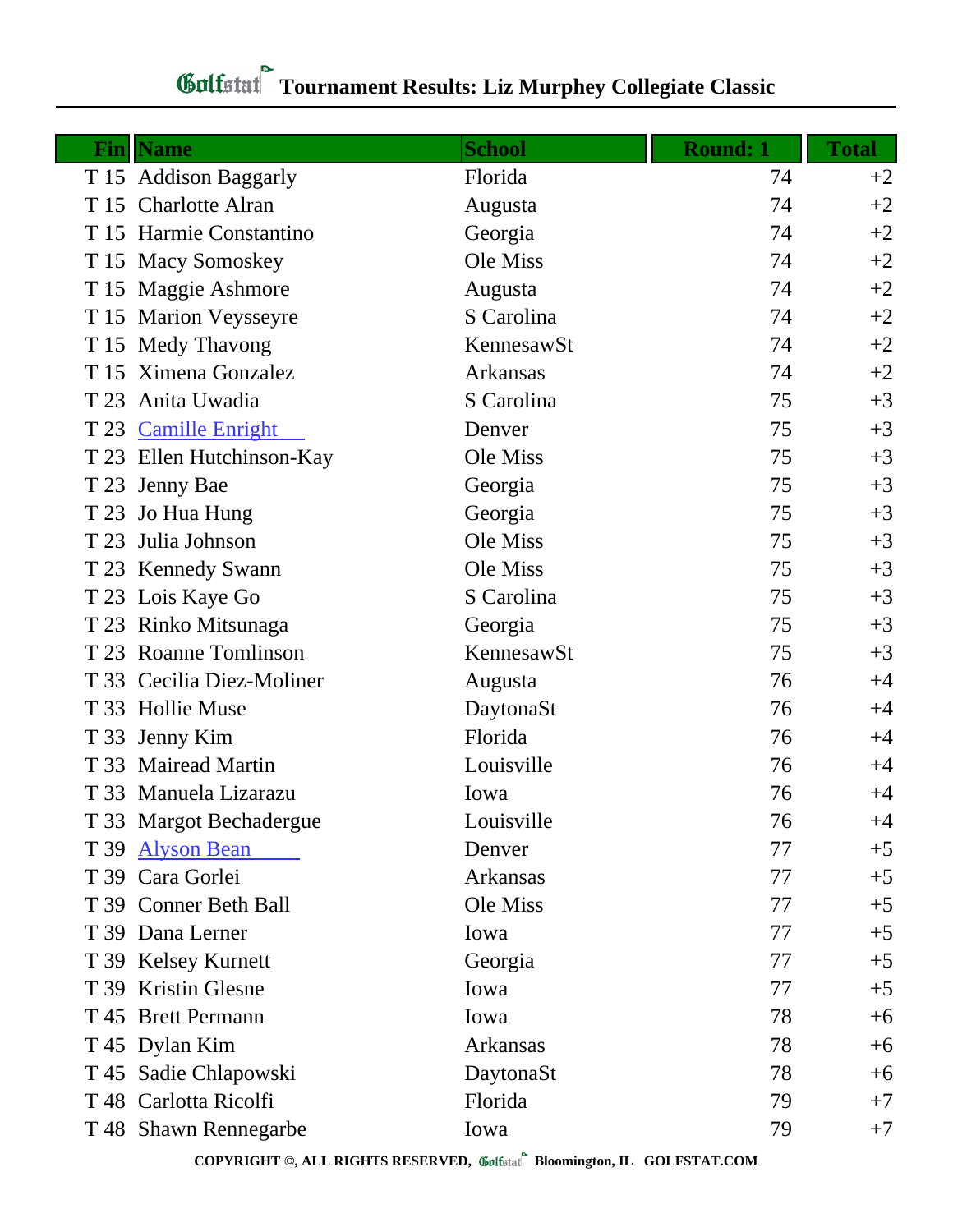## **Gulfatat** Tournament Results: Liz Murphey Collegiate Classic

| Fin  | <b>Name</b>               | <b>School</b>   | <b>Round: 1</b> | <b>Total</b> |
|------|---------------------------|-----------------|-----------------|--------------|
|      | T 15 Addison Baggarly     | Florida         | 74              | $+2$         |
|      | T 15 Charlotte Alran      | Augusta         | 74              | $+2$         |
|      | T 15 Harmie Constantino   | Georgia         | 74              | $+2$         |
|      | T 15 Macy Somoskey        | Ole Miss        | 74              | $+2$         |
|      | T 15 Maggie Ashmore       | Augusta         | 74              | $+2$         |
|      | T 15 Marion Veysseyre     | S Carolina      | 74              | $+2$         |
|      | T 15 Medy Thavong         | KennesawSt      | 74              | $+2$         |
|      | T 15 Ximena Gonzalez      | <b>Arkansas</b> | 74              | $+2$         |
| T 23 | Anita Uwadia              | S Carolina      | 75              | $+3$         |
|      | T 23 Camille Enright      | Denver          | 75              | $+3$         |
|      | T 23 Ellen Hutchinson-Kay | Ole Miss        | 75              | $+3$         |
|      | T 23 Jenny Bae            | Georgia         | 75              | $+3$         |
| T 23 | Jo Hua Hung               | Georgia         | 75              | $+3$         |
| T 23 | Julia Johnson             | Ole Miss        | 75              | $+3$         |
|      | T 23 Kennedy Swann        | Ole Miss        | 75              | $+3$         |
|      | T 23 Lois Kaye Go         | S Carolina      | 75              | $+3$         |
|      | T 23 Rinko Mitsunaga      | Georgia         | 75              | $+3$         |
|      | T 23 Roanne Tomlinson     | KennesawSt      | 75              | $+3$         |
|      | T 33 Cecilia Diez-Moliner | Augusta         | 76              | $+4$         |
|      | T 33 Hollie Muse          | DaytonaSt       | 76              | $+4$         |
|      | T 33 Jenny Kim            | Florida         | 76              | $+4$         |
|      | T 33 Mairead Martin       | Louisville      | 76              | $+4$         |
|      | T 33 Manuela Lizarazu     | Iowa            | 76              | $+4$         |
|      | T 33 Margot Bechadergue   | Louisville      | 76              | $+4$         |
|      | T 39 Alyson Bean          | Denver          | 77              | $+5$         |
|      | T 39 Cara Gorlei          | Arkansas        | 77              | $+5$         |
|      | T 39 Conner Beth Ball     | Ole Miss        | 77              | $+5$         |
|      | T 39 Dana Lerner          | Iowa            | 77              | $+5$         |
|      | T 39 Kelsey Kurnett       | Georgia         | 77              | $+5$         |
|      | T 39 Kristin Glesne       | Iowa            | 77              | $+5$         |
|      | T 45 Brett Permann        | Iowa            | 78              | $+6$         |
|      | T 45 Dylan Kim            | Arkansas        | 78              | $+6$         |
|      | T 45 Sadie Chlapowski     | DaytonaSt       | 78              | $+6$         |
|      | T 48 Carlotta Ricolfi     | Florida         | 79              | $+7$         |
|      | T 48 Shawn Rennegarbe     | Iowa            | 79              | $+7$         |